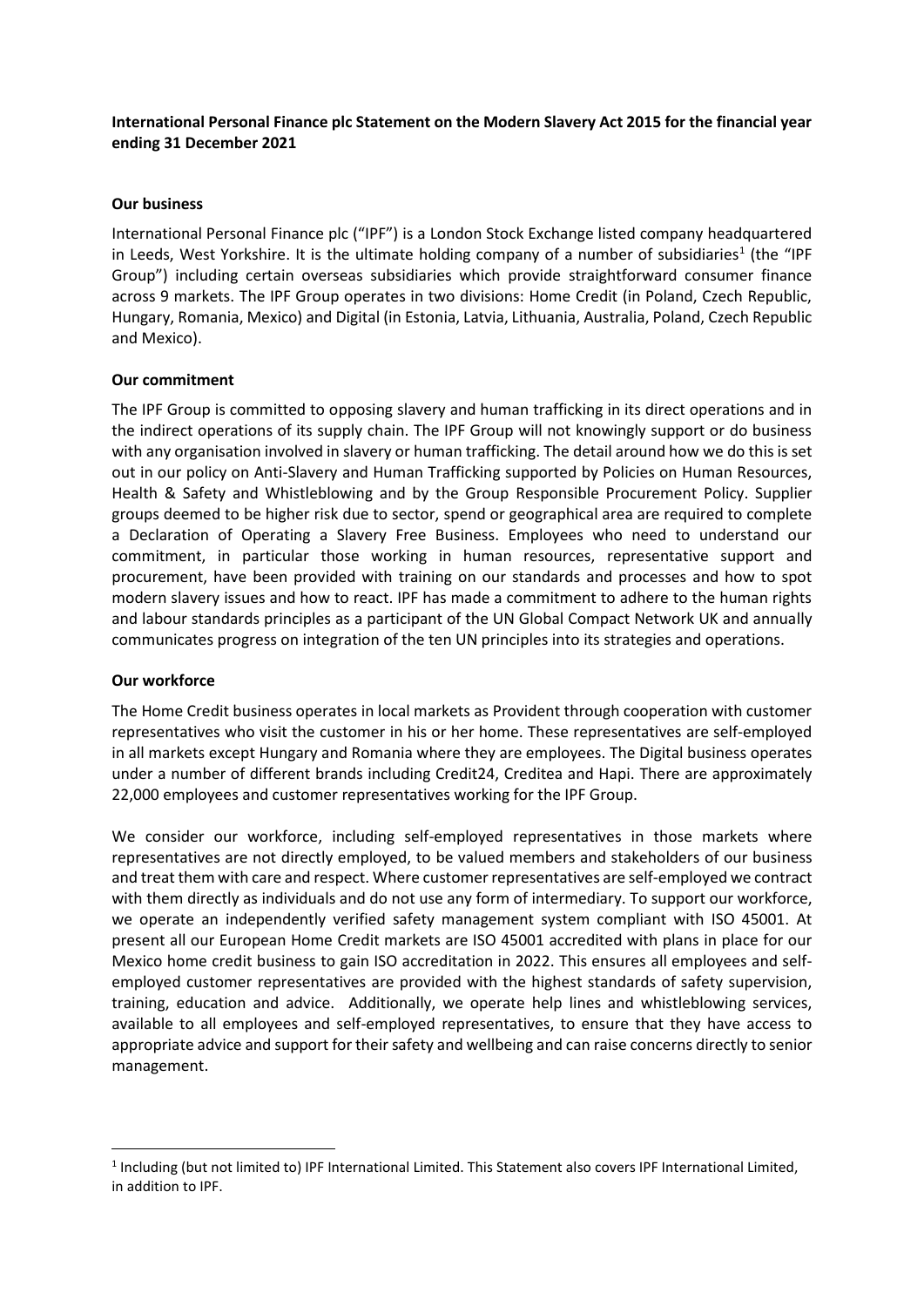# **International Personal Finance plc Statement on the Modern Slavery Act 2015 for the financial year ending 31 December 2021**

## **Our business**

International Personal Finance plc ("IPF") is a London Stock Exchange listed company headquartered in Leeds, West Yorkshire. It is the ultimate holding company of a number of subsidiaries<sup>1</sup> (the "IPF Group") including certain overseas subsidiaries which provide straightforward consumer finance across 9 markets. The IPF Group operates in two divisions: Home Credit (in Poland, Czech Republic, Hungary, Romania, Mexico) and Digital (in Estonia, Latvia, Lithuania, Australia, Poland, Czech Republic and Mexico).

# **Our commitment**

The IPF Group is committed to opposing slavery and human trafficking in its direct operations and in the indirect operations of its supply chain. The IPF Group will not knowingly support or do business with any organisation involved in slavery or human trafficking. The detail around how we do this is set out in our policy on Anti-Slavery and Human Trafficking supported by Policies on Human Resources, Health & Safety and Whistleblowing and by the Group Responsible Procurement Policy. Supplier groups deemed to be higher risk due to sector, spend or geographical area are required to complete a Declaration of Operating a Slavery Free Business. Employees who need to understand our commitment, in particular those working in human resources, representative support and procurement, have been provided with training on our standards and processes and how to spot modern slavery issues and how to react. IPF has made a commitment to adhere to the human rights and labour standards principles as a participant of the UN Global Compact Network UK and annually communicates progress on integration of the ten UN principles into its strategies and operations.

#### **Our workforce**

1

The Home Credit business operates in local markets as Provident through cooperation with customer representatives who visit the customer in his or her home. These representatives are self-employed in all markets except Hungary and Romania where they are employees. The Digital business operates under a number of different brands including Credit24, Creditea and Hapi. There are approximately 22,000 employees and customer representatives working for the IPF Group.

We consider our workforce, including self-employed representatives in those markets where representatives are not directly employed, to be valued members and stakeholders of our business and treat them with care and respect. Where customer representatives are self-employed we contract with them directly as individuals and do not use any form of intermediary. To support our workforce, we operate an independently verified safety management system compliant with ISO 45001. At present all our European Home Credit markets are ISO 45001 accredited with plans in place for our Mexico home credit business to gain ISO accreditation in 2022. This ensures all employees and selfemployed customer representatives are provided with the highest standards of safety supervision, training, education and advice. Additionally, we operate help lines and whistleblowing services, available to all employees and self-employed representatives, to ensure that they have access to appropriate advice and support for their safety and wellbeing and can raise concerns directly to senior management.

<sup>&</sup>lt;sup>1</sup> Including (but not limited to) IPF International Limited. This Statement also covers IPF International Limited, in addition to IPF.